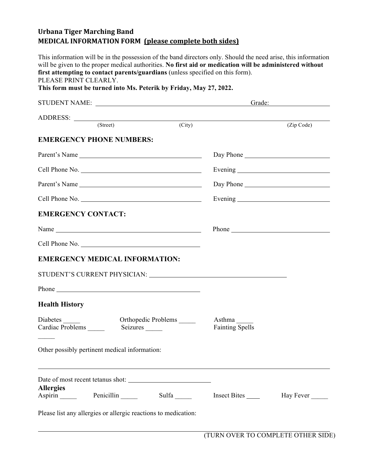## **Urbana Tiger Marching Band MEDICAL INFORMATION FORM (please complete both sides)**

This information will be in the possession of the band directors only. Should the need arise, this information will be given to the proper medical authorities. **No first aid or medication will be administered without first attempting to contact parents/guardians** (unless specified on this form). PLEASE PRINT CLEARLY. **This form must be turned into Ms. Peterik by Friday, May 27, 2022.** STUDENT NAME: Grade: ADDRESS: (Street) (City) (Zip Code) **EMERGENCY PHONE NUMBERS:** Parent's Name Day Phone Day Phone Cell Phone No. Evening Parent's Name Day Phone Day Phone Cell Phone No. Evening **EMERGENCY CONTACT:** Name Phone Cell Phone No. **EMERGENCY MEDICAL INFORMATION:** STUDENT'S CURRENT PHYSICIAN: University of the state of the state of the state of the state of the state of the state of the state of the state of the state of the state of the state of the state of the state of the state Phone **Health History** Diabetes \_\_\_\_\_ Orthopedic Problems \_\_\_\_\_ Asthma \_\_\_\_ Cardiac Problems **Seizures Seizures** Fainting Spells  $\mathcal{L}_\mathcal{L}$ Other possibly pertinent medical information: Date of most recent tetanus shot: **Allergies** Aspirin Penicillin Sulfa Insect Bites Hay Fever Please list any allergies or allergic reactions to medication: